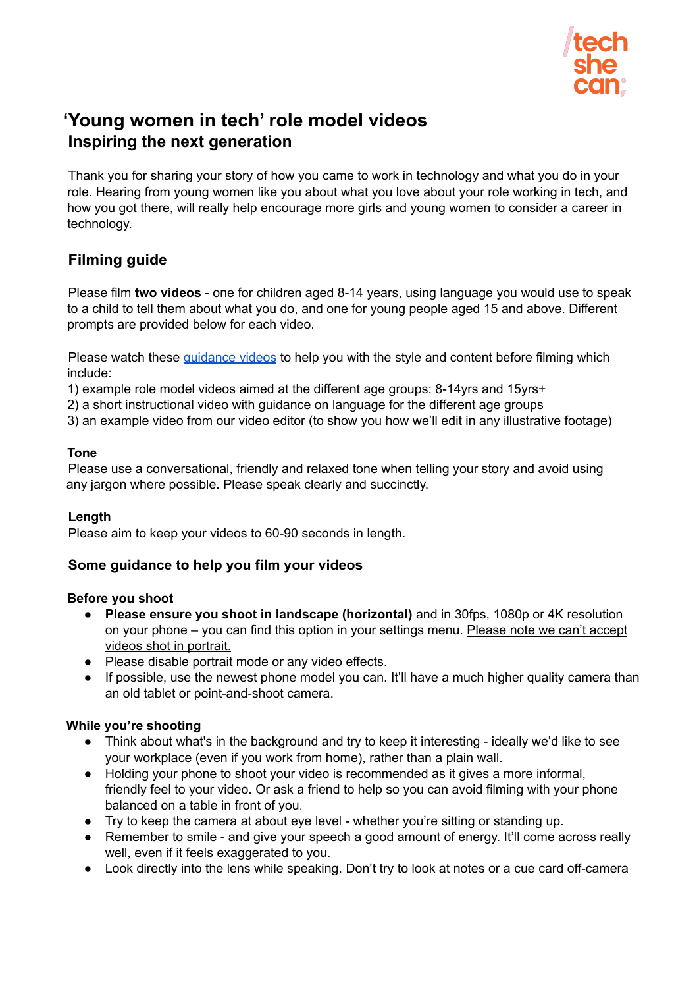

# **'Young women in tech' role model videos Inspiring the next generation**

Thank you for sharing your story of how you came to work in technology and what you do in your role. Hearing from young women like you about what you love about your role working in tech, and how you got there, will really help encourage more girls and young women to consider a career in technology.

## **Filming guide**

Please film **two videos** - one for children aged 8-14 years, using language you would use to speak to a child to tell them about what you do, and one for young people aged 15 and above. Different prompts are provided below for each video.

Please watch these *[guidance](https://vimeo.com/user/160931257/folder/7871405) videos* to help you with the style and content before filming which include:

1) example role model videos aimed at the different age groups: 8-14yrs and 15yrs+

2) a short instructional video with guidance on language for the different age groups

3) an example video from our video editor (to show you how we'll edit in any illustrative footage)

### **Tone**

Please use a conversational, friendly and relaxed tone when telling your story and avoid using any jargon where possible. Please speak clearly and succinctly.

#### **Length**

Please aim to keep your videos to 60-90 seconds in length.

## **Some guidance to help you film your videos**

#### **Before you shoot**

- **Please ensure you shoot in landscape (horizontal)** and in 30fps, 1080p or 4K resolution on your phone – you can find this option in your settings menu. Please note we can't accept videos shot in portrait.
- Please disable portrait mode or any video effects.
- If possible, use the newest phone model you can. It'll have a much higher quality camera than an old tablet or point-and-shoot camera.

## **While you're shooting**

- Think about what's in the background and try to keep it interesting ideally we'd like to see your workplace (even if you work from home), rather than a plain wall.
- Holding your phone to shoot your video is recommended as it gives a more informal. friendly feel to your video. Or ask a friend to help so you can avoid filming with your phone balanced on a table in front of you.
- Try to keep the camera at about eye level whether you're sitting or standing up.
- Remember to smile and give your speech a good amount of energy. It'll come across really well, even if it feels exaggerated to you.
- Look directly into the lens while speaking. Don't try to look at notes or a cue card off-camera